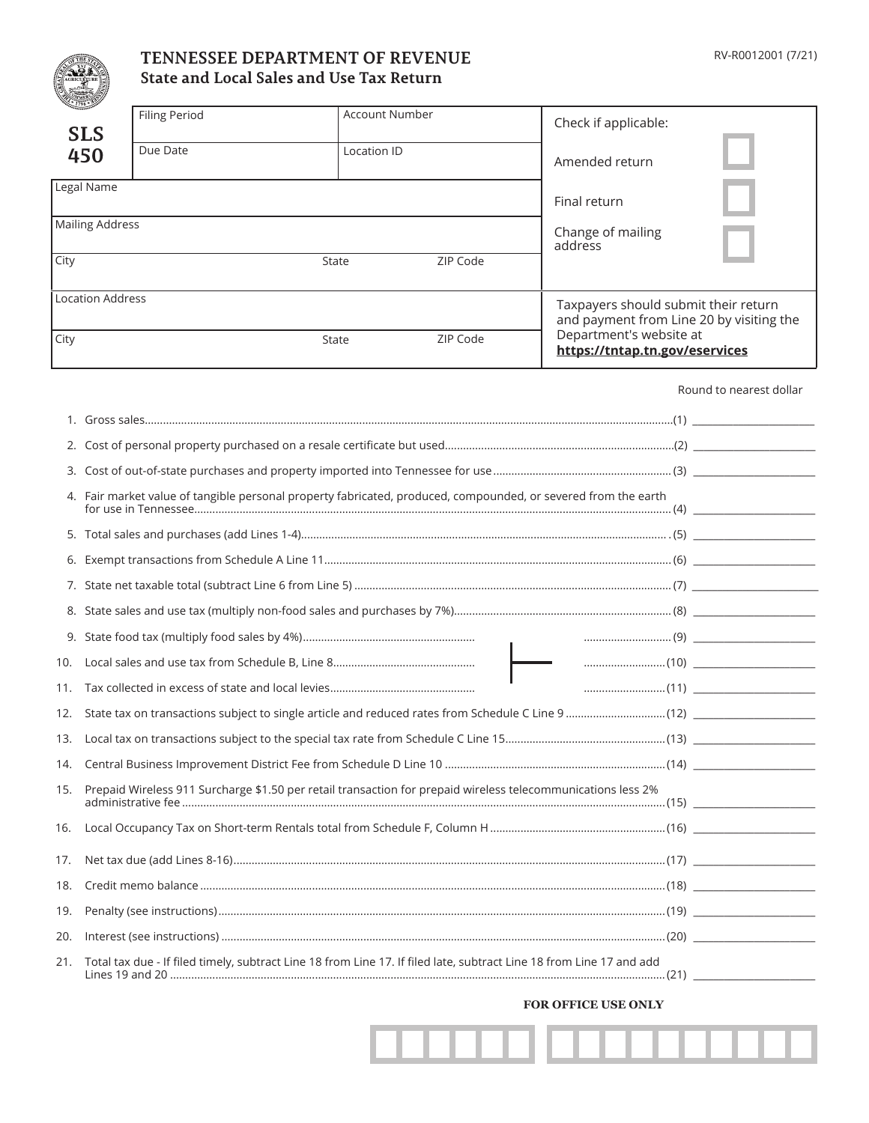

# **TENNESSEE DEPARTMENT OF REVENUE State and Local Sales and Use Tax Return**

| RV-R0012001 (7/21) |  |
|--------------------|--|
|--------------------|--|

|                                                                                                                | 1796                                                                                                                 | <b>Account Number</b><br><b>Filing Period</b>                                                        |       |  |          |         | Check if applicable:                                      |                                          |  |  |
|----------------------------------------------------------------------------------------------------------------|----------------------------------------------------------------------------------------------------------------------|------------------------------------------------------------------------------------------------------|-------|--|----------|---------|-----------------------------------------------------------|------------------------------------------|--|--|
|                                                                                                                | <b>SLS</b><br>450                                                                                                    | Due Date<br>Location ID                                                                              |       |  |          |         |                                                           |                                          |  |  |
|                                                                                                                |                                                                                                                      |                                                                                                      |       |  |          |         | Amended return                                            |                                          |  |  |
|                                                                                                                | Legal Name                                                                                                           |                                                                                                      |       |  |          |         | Final return                                              |                                          |  |  |
|                                                                                                                | <b>Mailing Address</b>                                                                                               |                                                                                                      |       |  |          |         | Change of mailing                                         |                                          |  |  |
| City                                                                                                           |                                                                                                                      |                                                                                                      | State |  | ZIP Code | address |                                                           |                                          |  |  |
|                                                                                                                |                                                                                                                      |                                                                                                      |       |  |          |         |                                                           |                                          |  |  |
|                                                                                                                | <b>Location Address</b>                                                                                              |                                                                                                      |       |  |          |         | Taxpayers should submit their return                      | and payment from Line 20 by visiting the |  |  |
| City                                                                                                           |                                                                                                                      |                                                                                                      | State |  | ZIP Code |         | Department's website at<br>https://tntap.tn.gov/eservices |                                          |  |  |
|                                                                                                                |                                                                                                                      |                                                                                                      |       |  |          |         |                                                           | Round to nearest dollar                  |  |  |
|                                                                                                                |                                                                                                                      |                                                                                                      |       |  |          |         |                                                           |                                          |  |  |
|                                                                                                                |                                                                                                                      |                                                                                                      |       |  |          |         |                                                           |                                          |  |  |
|                                                                                                                |                                                                                                                      |                                                                                                      |       |  |          |         |                                                           |                                          |  |  |
| 4. Fair market value of tangible personal property fabricated, produced, compounded, or severed from the earth |                                                                                                                      |                                                                                                      |       |  |          |         |                                                           |                                          |  |  |
|                                                                                                                |                                                                                                                      |                                                                                                      |       |  |          |         |                                                           |                                          |  |  |
| 6.                                                                                                             |                                                                                                                      |                                                                                                      |       |  |          |         |                                                           |                                          |  |  |
|                                                                                                                |                                                                                                                      |                                                                                                      |       |  |          |         |                                                           |                                          |  |  |
|                                                                                                                |                                                                                                                      |                                                                                                      |       |  |          |         |                                                           |                                          |  |  |
|                                                                                                                |                                                                                                                      |                                                                                                      |       |  |          |         |                                                           |                                          |  |  |
| 10.                                                                                                            |                                                                                                                      |                                                                                                      |       |  |          |         |                                                           |                                          |  |  |
| 11.                                                                                                            |                                                                                                                      |                                                                                                      |       |  |          |         |                                                           |                                          |  |  |
|                                                                                                                |                                                                                                                      | 12. State tax on transactions subject to single article and reduced rates from Schedule C Line 9(12) |       |  |          |         |                                                           |                                          |  |  |
|                                                                                                                |                                                                                                                      |                                                                                                      |       |  |          |         |                                                           |                                          |  |  |
| 14.                                                                                                            |                                                                                                                      |                                                                                                      |       |  |          |         |                                                           |                                          |  |  |
| 15.                                                                                                            | Prepaid Wireless 911 Surcharge \$1.50 per retail transaction for prepaid wireless telecommunications less 2%         |                                                                                                      |       |  |          |         |                                                           |                                          |  |  |
| 16.                                                                                                            |                                                                                                                      |                                                                                                      |       |  |          |         |                                                           |                                          |  |  |
| 17.                                                                                                            |                                                                                                                      |                                                                                                      |       |  |          |         |                                                           |                                          |  |  |
| 18.                                                                                                            |                                                                                                                      |                                                                                                      |       |  |          |         |                                                           |                                          |  |  |
| 19.                                                                                                            |                                                                                                                      |                                                                                                      |       |  |          |         |                                                           |                                          |  |  |
| 20.                                                                                                            |                                                                                                                      |                                                                                                      |       |  |          |         |                                                           |                                          |  |  |
| 21.                                                                                                            | Total tax due - If filed timely, subtract Line 18 from Line 17. If filed late, subtract Line 18 from Line 17 and add |                                                                                                      |       |  |          |         |                                                           |                                          |  |  |

**FOR OFFICE USE ONLY**

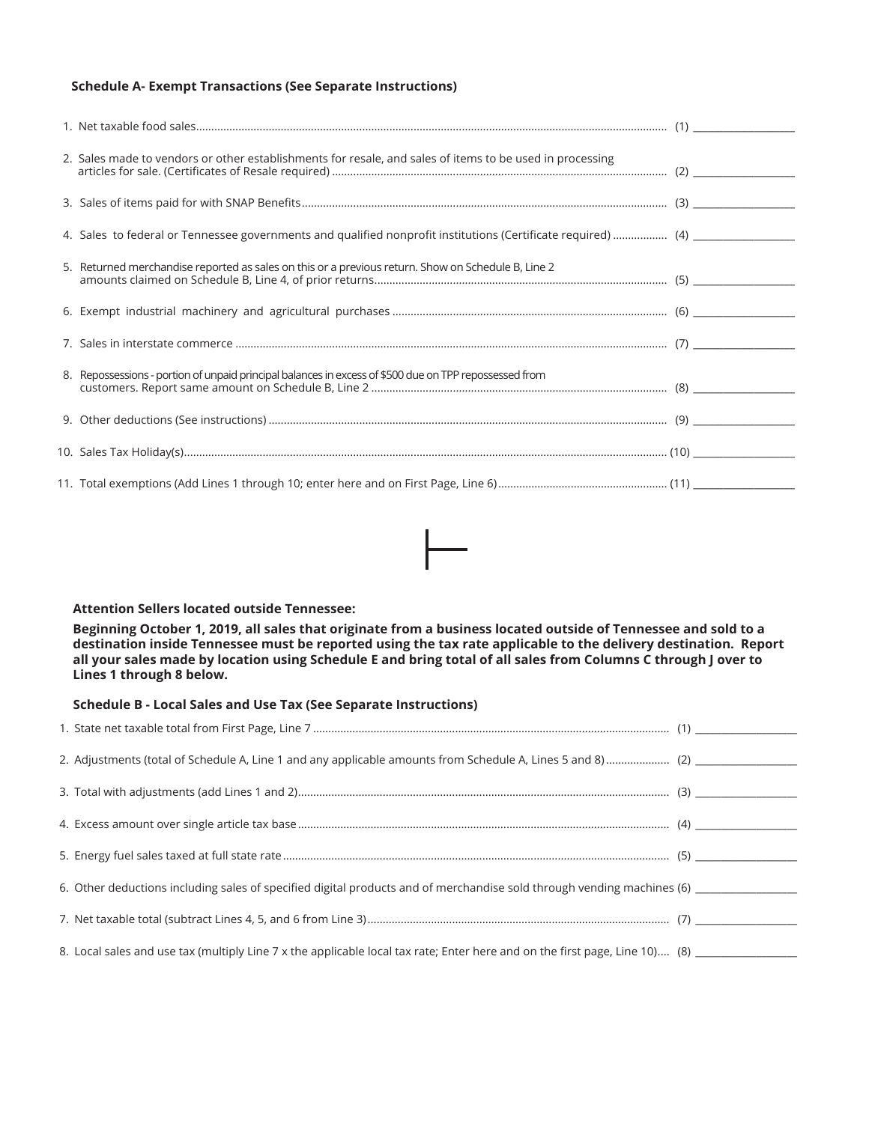#### **Schedule A- Exempt Transactions (See Separate Instructions)**

| 2. Sales made to vendors or other establishments for resale, and sales of items to be used in processing      |  |
|---------------------------------------------------------------------------------------------------------------|--|
|                                                                                                               |  |
| 4. Sales to federal or Tennessee governments and qualified nonprofit institutions (Certificate required)  (4) |  |
| 5. Returned merchandise reported as sales on this or a previous return. Show on Schedule B, Line 2            |  |
|                                                                                                               |  |
|                                                                                                               |  |
| 8. Repossessions - portion of unpaid principal balances in excess of \$500 due on TPP repossessed from        |  |
|                                                                                                               |  |
|                                                                                                               |  |
|                                                                                                               |  |

#### **Attention Sellers located outside Tennessee:**

**Beginning October 1, 2019, all sales that originate from a business located outside of Tennessee and sold to a destination inside Tennessee must be reported using the tax rate applicable to the delivery destination. Report all your sales made by location using Schedule E and bring total of all sales from Columns C through J over to Lines 1 through 8 below.**

#### **Schedule B - Local Sales and Use Tax (See Separate Instructions)**

| 6. Other deductions including sales of specified digital products and of merchandise sold through vending machines (6)      |  |
|-----------------------------------------------------------------------------------------------------------------------------|--|
|                                                                                                                             |  |
| 8. Local sales and use tax (multiply Line 7 x the applicable local tax rate; Enter here and on the first page, Line 10) (8) |  |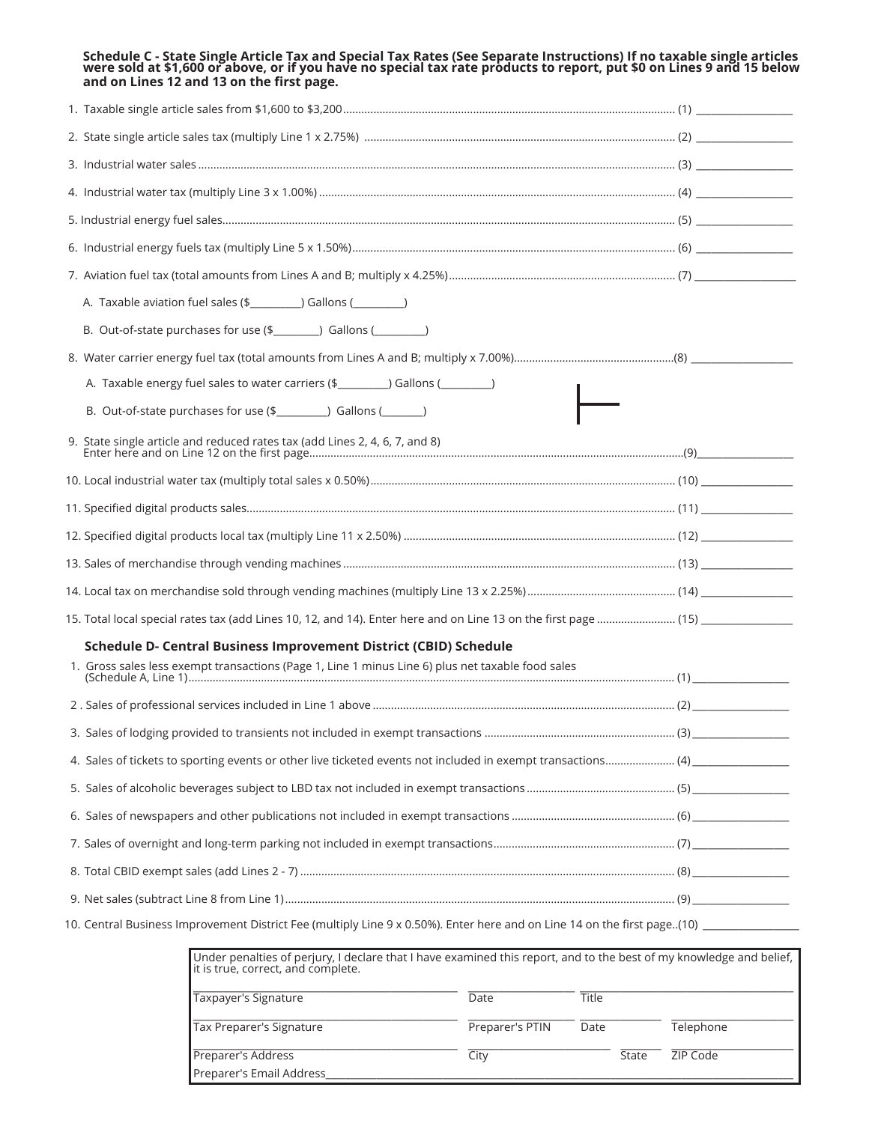| Schedule C - State Single Article Tax and Special Tax Rates (See Separate Instructions) If no taxable single articles<br>were sold at \$1,600 or above, or if you have no special tax rate products to report, put \$0 on Lines 9 a<br>and on Lines 12 and 13 on the first page. |  |
|----------------------------------------------------------------------------------------------------------------------------------------------------------------------------------------------------------------------------------------------------------------------------------|--|
|                                                                                                                                                                                                                                                                                  |  |
|                                                                                                                                                                                                                                                                                  |  |
|                                                                                                                                                                                                                                                                                  |  |
|                                                                                                                                                                                                                                                                                  |  |
|                                                                                                                                                                                                                                                                                  |  |
|                                                                                                                                                                                                                                                                                  |  |
|                                                                                                                                                                                                                                                                                  |  |
| A. Taxable aviation fuel sales (\$__________) Gallons (_________)                                                                                                                                                                                                                |  |
| B. Out-of-state purchases for use (\$_________) Gallons (_________)                                                                                                                                                                                                              |  |
|                                                                                                                                                                                                                                                                                  |  |
| A. Taxable energy fuel sales to water carriers (\$_________) Gallons (________)                                                                                                                                                                                                  |  |
| B. Out-of-state purchases for use (\$__________) Gallons (_______)                                                                                                                                                                                                               |  |
|                                                                                                                                                                                                                                                                                  |  |
|                                                                                                                                                                                                                                                                                  |  |
|                                                                                                                                                                                                                                                                                  |  |
|                                                                                                                                                                                                                                                                                  |  |
|                                                                                                                                                                                                                                                                                  |  |
|                                                                                                                                                                                                                                                                                  |  |
|                                                                                                                                                                                                                                                                                  |  |
| Schedule D- Central Business Improvement District (CBID) Schedule                                                                                                                                                                                                                |  |
| 1. Gross sales less exempt transactions (Page 1, Line 1 minus Line 6) plus net taxable food sales                                                                                                                                                                                |  |
|                                                                                                                                                                                                                                                                                  |  |
|                                                                                                                                                                                                                                                                                  |  |
|                                                                                                                                                                                                                                                                                  |  |
|                                                                                                                                                                                                                                                                                  |  |
|                                                                                                                                                                                                                                                                                  |  |
|                                                                                                                                                                                                                                                                                  |  |
|                                                                                                                                                                                                                                                                                  |  |
|                                                                                                                                                                                                                                                                                  |  |
| 10. Central Business Improvement District Fee (multiply Line 9 x 0.50%). Enter here and on Line 14 on the first page(10) ____________<br>a contribuir a far caisar i de deas de seu bresse constantidades as companheiro de champer a face das caisas de alta fin f              |  |

| Under penalties of perjury, I declare that I have examined this report, and to the best of my knowledge and belief,<br>it is true, correct, and complete. |                 |       |           |
|-----------------------------------------------------------------------------------------------------------------------------------------------------------|-----------------|-------|-----------|
| Taxpayer's Signature                                                                                                                                      | Date            | Title |           |
| Tax Preparer's Signature                                                                                                                                  | Preparer's PTIN | Date  | Telephone |
| Preparer's Address                                                                                                                                        | City            | State | ZIP Code  |
| Preparer's Email Address                                                                                                                                  |                 |       |           |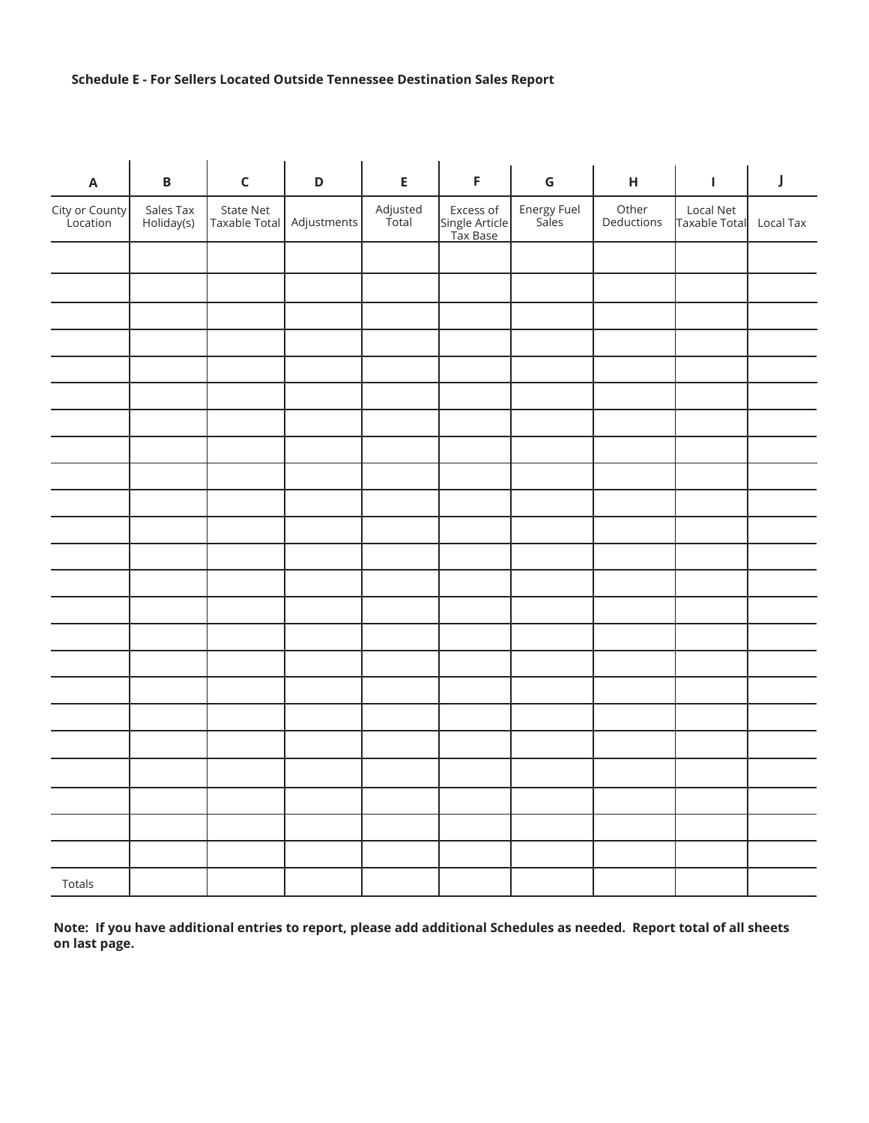### **Schedule E - For Sellers Located Outside Tennessee Destination Sales Report**

| $\boldsymbol{\mathsf{A}}$  | $\, {\bf B}$            | $\mathsf C$                | $\mathsf D$ | E                 | $\mathsf F$                             | ${\mathsf G}$        | $\mathsf{H}$        | $\mathbf I$                | J         |
|----------------------------|-------------------------|----------------------------|-------------|-------------------|-----------------------------------------|----------------------|---------------------|----------------------------|-----------|
| City or County<br>Location | Sales Tax<br>Holiday(s) | State Net<br>Taxable Total | Adjustments | Adjusted<br>Total | Excess of<br>Single Article<br>Tax Base | Energy Fuel<br>Sales | Other<br>Deductions | Local Net<br>Taxable Total | Local Tax |
|                            |                         |                            |             |                   |                                         |                      |                     |                            |           |
|                            |                         |                            |             |                   |                                         |                      |                     |                            |           |
|                            |                         |                            |             |                   |                                         |                      |                     |                            |           |
|                            |                         |                            |             |                   |                                         |                      |                     |                            |           |
|                            |                         |                            |             |                   |                                         |                      |                     |                            |           |
|                            |                         |                            |             |                   |                                         |                      |                     |                            |           |
|                            |                         |                            |             |                   |                                         |                      |                     |                            |           |
|                            |                         |                            |             |                   |                                         |                      |                     |                            |           |
|                            |                         |                            |             |                   |                                         |                      |                     |                            |           |
|                            |                         |                            |             |                   |                                         |                      |                     |                            |           |
|                            |                         |                            |             |                   |                                         |                      |                     |                            |           |
|                            |                         |                            |             |                   |                                         |                      |                     |                            |           |
|                            |                         |                            |             |                   |                                         |                      |                     |                            |           |
|                            |                         |                            |             |                   |                                         |                      |                     |                            |           |
|                            |                         |                            |             |                   |                                         |                      |                     |                            |           |
|                            |                         |                            |             |                   |                                         |                      |                     |                            |           |
|                            |                         |                            |             |                   |                                         |                      |                     |                            |           |
|                            |                         |                            |             |                   |                                         |                      |                     |                            |           |
|                            |                         |                            |             |                   |                                         |                      |                     |                            |           |
|                            |                         |                            |             |                   |                                         |                      |                     |                            |           |
|                            |                         |                            |             |                   |                                         |                      |                     |                            |           |
|                            |                         |                            |             |                   |                                         |                      |                     |                            |           |
| Totals                     |                         |                            |             |                   |                                         |                      |                     |                            |           |

**Note: If you have additional entries to report, please add additional Schedules as needed. Report total of all sheets on last page.**